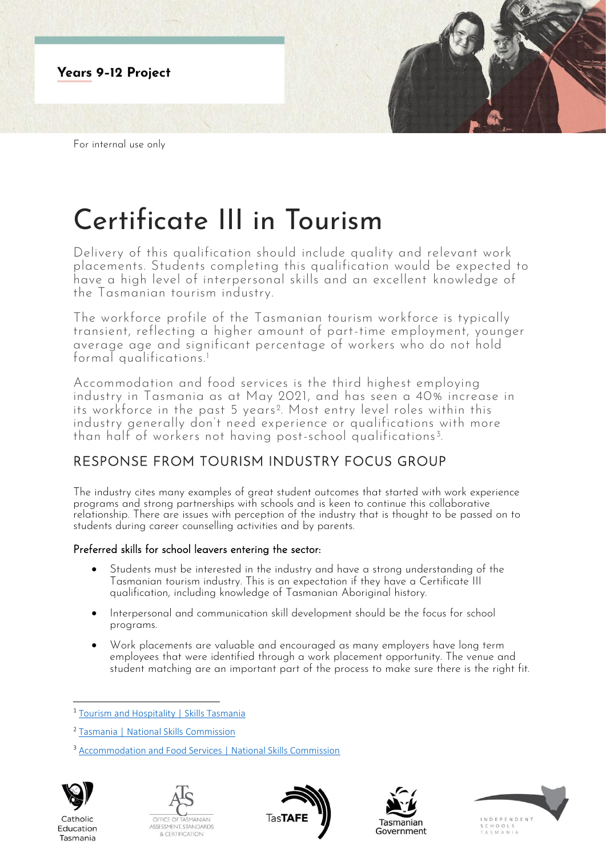

# Certificate III in Tourism

Delivery of this qualification should include quality and relevant work placements. Students completing this qualification would be expected to have a high level of interpersonal skills and an excellent knowledge of the Tasmanian tourism industry.

The workforce profile of the Tasmanian tourism workforce is typically transient, reflecting a higher amount of part-time employment, younger average age and significant percentage of workers who do not hold formal qualifications.<sup>1</sup>

Accommodation and food services is the third highest employing industry in Tasmania as at May 2021, and has seen a 40% increase in its workforce in the past 5 years<sup>2</sup>. Most entry level roles within this industry generally don't need experience or qualifications with more than half of workers not having post-school qualifications<sup>3</sup>. .

# RESPONSE FROM TOURISM INDUSTRY FOCUS GROUP

The industry cites many examples of great student outcomes that started with work experience programs and strong partnerships with schools and is keen to continue this collaborative relationship. There are issues with perception of the industry that is thought to be passed on to students during career counselling activities and by parents.

## Preferred skills for school leavers entering the sector:

- Students must be interested in the industry and have a strong understanding of the Tasmanian tourism industry. This is an expectation if they have a Certificate III qualification, including knowledge of Tasmanian Aboriginal history.
- Interpersonal and communication skill development should be the focus for school programs.
- Work placements are valuable and encouraged as many employers have long term employees that were identified through a work placement opportunity. The venue and student matching are an important part of the process to make sure there is the right fit.

<sup>&</sup>lt;sup>3</sup> [Accommodation and Food Services | National Skills Commission](https://www.nationalskillscommission.gov.au/accommodation-and-food-services-0)



Catholic

Education

Tasmania









<sup>&</sup>lt;sup>1</sup> [Tourism and Hospitality | Skills Tasmania](https://www.skills.tas.gov.au/about/the_tasmanian_workforce/industry_information_and_profiles/tourism_and_hospitality_fact_sheet)

<sup>2</sup> [Tasmania | National Skills Commission](https://www.nationalskillscommission.gov.au/tasmania-0)